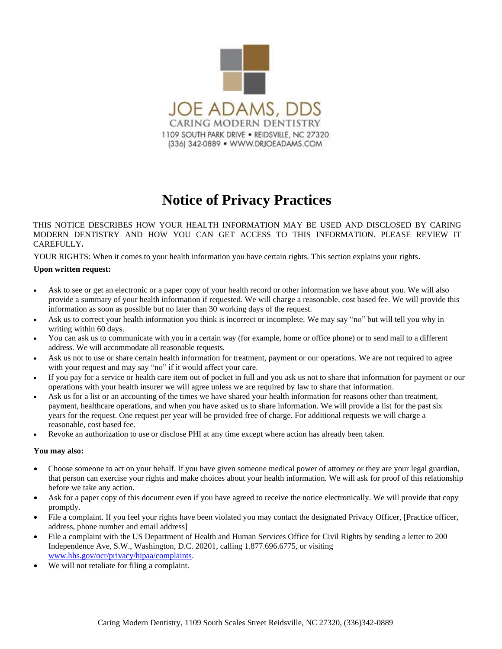

# **Notice of Privacy Practices**

THIS NOTICE DESCRIBES HOW YOUR HEALTH INFORMATION MAY BE USED AND DISCLOSED BY CARING MODERN DENTISTRY AND HOW YOU CAN GET ACCESS TO THIS INFORMATION. PLEASE REVIEW IT CAREFULLY**.**

YOUR RIGHTS: When it comes to your health information you have certain rights. This section explains your rights**.**

#### **Upon written request:**

- Ask to see or get an electronic or a paper copy of your health record or other information we have about you. We will also provide a summary of your health information if requested. We will charge a reasonable, cost based fee. We will provide this information as soon as possible but no later than 30 working days of the request.
- Ask us to correct your health information you think is incorrect or incomplete. We may say "no" but will tell you why in writing within 60 days.
- You can ask us to communicate with you in a certain way (for example, home or office phone) or to send mail to a different address. We will accommodate all reasonable requests.
- Ask us not to use or share certain health information for treatment, payment or our operations. We are not required to agree with your request and may say "no" if it would affect your care.
- If you pay for a service or health care item out of pocket in full and you ask us not to share that information for payment or our operations with your health insurer we will agree unless we are required by law to share that information.
- Ask us for a list or an accounting of the times we have shared your health information for reasons other than treatment, payment, healthcare operations, and when you have asked us to share information. We will provide a list for the past six years for the request. One request per year will be provided free of charge. For additional requests we will charge a reasonable, cost based fee.
- Revoke an authorization to use or disclose PHI at any time except where action has already been taken.

# **You may also:**

- Choose someone to act on your behalf. If you have given someone medical power of attorney or they are your legal guardian, that person can exercise your rights and make choices about your health information. We will ask for proof of this relationship before we take any action.
- Ask for a paper copy of this document even if you have agreed to receive the notice electronically. We will provide that copy promptly.
- File a complaint. If you feel your rights have been violated you may contact the designated Privacy Officer, [Practice officer, address, phone number and email address]
- File a complaint with the US Department of Health and Human Services Office for Civil Rights by sending a letter to 200 Independence Ave, S.W., Washington, D.C. 20201, calling 1.877.696.6775, or visiting [www.hhs.gov/ocr/privacy/hipaa/complaints.](http://www.hhs.gov/ocr/privacy/hipaa/complaints)
- We will not retaliate for filing a complaint.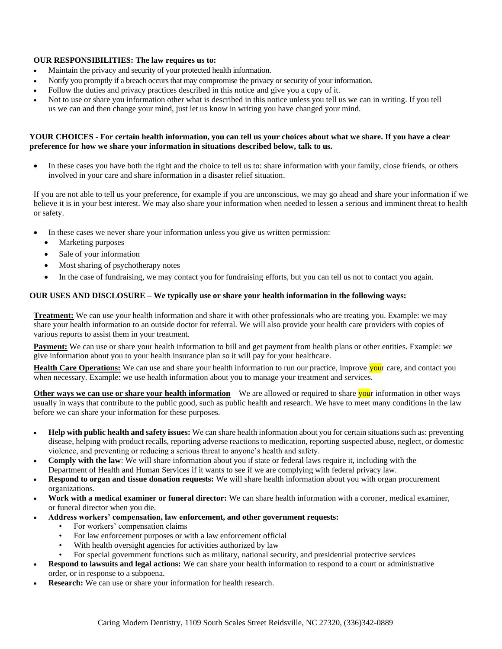## **OUR RESPONSIBILITIES: The law requires us to:**

- Maintain the privacy and security of your protected health information.
- Notify you promptly if a breach occurs that may compromise the privacy or security of your information.
- Follow the duties and privacy practices described in this notice and give you a copy of it.
- Not to use or share you information other what is described in this notice unless you tell us we can in writing. If you tell us we can and then change your mind, just let us know in writing you have changed your mind.

## **YOUR CHOICES - For certain health information, you can tell us your choices about what we share. If you have a clear preference for how we share your information in situations described below, talk to us.**

• In these cases you have both the right and the choice to tell us to: share information with your family, close friends, or others involved in your care and share information in a disaster relief situation.

If you are not able to tell us your preference, for example if you are unconscious, we may go ahead and share your information if we believe it is in your best interest. We may also share your information when needed to lessen a serious and imminent threat to health or safety.

- In these cases we never share your information unless you give us written permission:
	- Marketing purposes
	- Sale of your information
	- Most sharing of psychotherapy notes
	- In the case of fundraising, we may contact you for fundraising efforts, but you can tell us not to contact you again.

#### **OUR USES AND DISCLOSURE – We typically use or share your health information in the following ways:**

**Treatment:** We can use your health information and share it with other professionals who are treating you. Example: we may share your health information to an outside doctor for referral. We will also provide your health care providers with copies of various reports to assist them in your treatment.

**Payment:** We can use or share your health information to bill and get payment from health plans or other entities. Example: we give information about you to your health insurance plan so it will pay for your healthcare.

**Health Care Operations:** We can use and share your health information to run our practice, improve **you**r care, and contact you when necessary. Example: we use health information about you to manage your treatment and services.

**Other ways we can use or share your health information** – We are allowed or required to share your information in other ways – usually in ways that contribute to the public good, such as public health and research. We have to meet many conditions in the law before we can share your information for these purposes.

- **Help with public health and safety issues:** We can share health information about you for certain situations such as: preventing disease, helping with product recalls, reporting adverse reactions to medication, reporting suspected abuse, neglect, or domestic violence, and preventing or reducing a serious threat to anyone's health and safety.
- **Comply with the law**: We will share information about you if state or federal laws require it, including with the Department of Health and Human Services if it wants to see if we are complying with federal privacy law.
- **Respond to organ and tissue donation requests:** We will share health information about you with organ procurement organizations.
- **Work with a medical examiner or funeral director:** We can share health information with a coroner, medical examiner, or funeral director when you die.
- **Address workers' compensation, law enforcement, and other government requests:**
	- For workers' compensation claims
	- For law enforcement purposes or with a law enforcement official
	- With health oversight agencies for activities authorized by law
	- For special government functions such as military, national security, and presidential protective services
- **Respond to lawsuits and legal actions:** We can share your health information to respond to a court or administrative order, or in response to a subpoena.
- **Research:** We can use or share your information for health research.